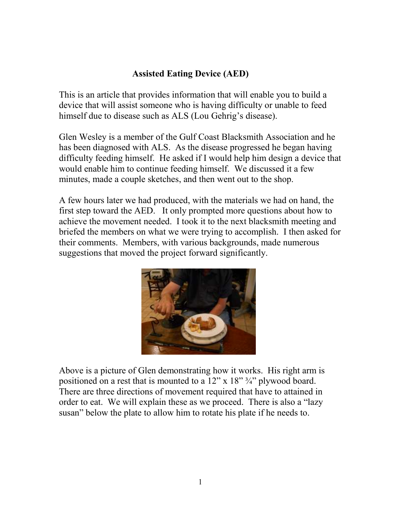## **Assisted Eating Device (AED)**

This is an article that provides information that will enable you to build a device that will assist someone who is having difficulty or unable to feed himself due to disease such as ALS (Lou Gehrig's disease).

Glen Wesley is a member of the Gulf Coast Blacksmith Association and he has been diagnosed with ALS. As the disease progressed he began having difficulty feeding himself. He asked if I would help him design a device that would enable him to continue feeding himself. We discussed it a few minutes, made a couple sketches, and then went out to the shop.

A few hours later we had produced, with the materials we had on hand, the first step toward the AED. It only prompted more questions about how to achieve the movement needed. I took it to the next blacksmith meeting and briefed the members on what we were trying to accomplish. I then asked for their comments. Members, with various backgrounds, made numerous suggestions that moved the project forward significantly.



Above is a picture of Glen demonstrating how it works. His right arm is positioned on a rest that is mounted to a  $12$ " x  $18$ "  $\frac{3}{4}$ " plywood board. There are three directions of movement required that have to attained in order to eat. We will explain these as we proceed. There is also a "lazy susan" below the plate to allow him to rotate his plate if he needs to.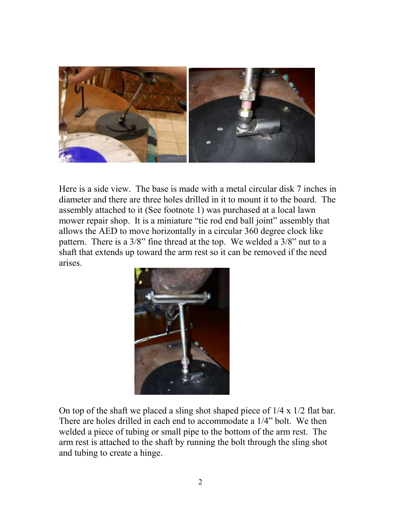

Here is a side view. The base is made with a metal circular disk 7 inches in diameter and there are three holes drilled in it to mount it to the board. The assembly attached to it (See footnote 1) was purchased at a local lawn mower repair shop. It is a miniature "tie rod end ball joint" assembly that allows the AED to move horizontally in a circular 360 degree clock like pattern. There is a 3/8" fine thread at the top. We welded a 3/8" nut to a shaft that extends up toward the arm rest so it can be removed if the need arises.



On top of the shaft we placed a sling shot shaped piece of 1/4 x 1/2 flat bar. There are holes drilled in each end to accommodate a 1/4" bolt. We then welded a piece of tubing or small pipe to the bottom of the arm rest. The arm rest is attached to the shaft by running the bolt through the sling shot and tubing to create a hinge.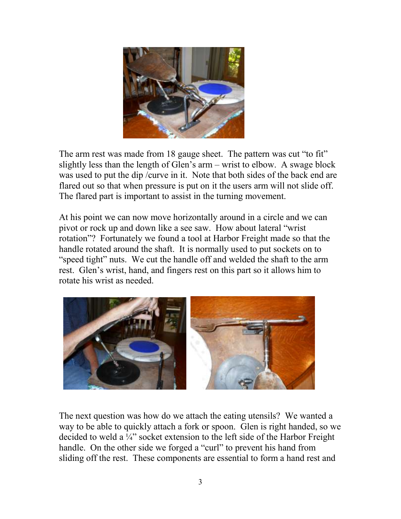

The arm rest was made from 18 gauge sheet. The pattern was cut "to fit" slightly less than the length of Glen's arm – wrist to elbow. A swage block was used to put the dip /curve in it. Note that both sides of the back end are flared out so that when pressure is put on it the users arm will not slide off. The flared part is important to assist in the turning movement.

At his point we can now move horizontally around in a circle and we can pivot or rock up and down like a see saw. How about lateral "wrist rotation"? Fortunately we found a tool at Harbor Freight made so that the handle rotated around the shaft. It is normally used to put sockets on to "speed tight" nuts. We cut the handle off and welded the shaft to the arm rest. Glen's wrist, hand, and fingers rest on this part so it allows him to rotate his wrist as needed.



The next question was how do we attach the eating utensils? We wanted a way to be able to quickly attach a fork or spoon. Glen is right handed, so we decided to weld a ¼" socket extension to the left side of the Harbor Freight handle. On the other side we forged a "curl" to prevent his hand from sliding off the rest. These components are essential to form a hand rest and